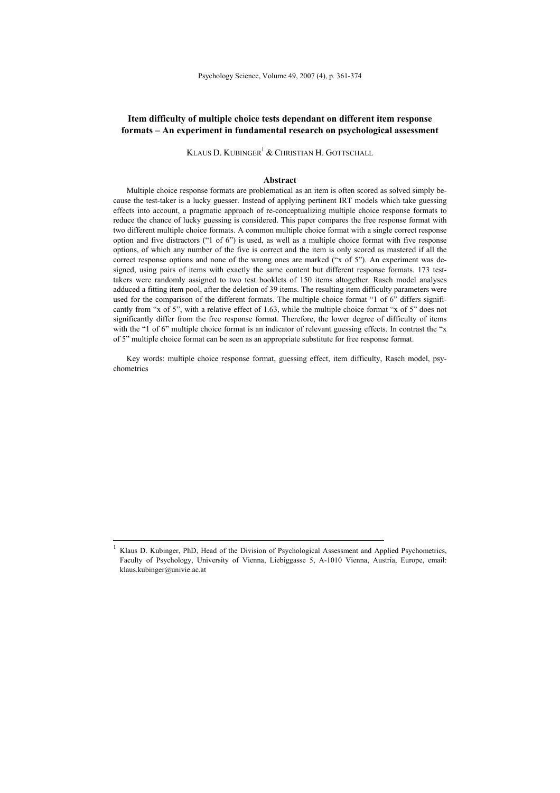# **Item difficulty of multiple choice tests dependant on different item response formats – An experiment in fundamental research on psychological assessment**

KLAUS D. KUBINGER<sup>1</sup> & CHRISTIAN H. GOTTSCHALL

#### **Abstract**

Multiple choice response formats are problematical as an item is often scored as solved simply because the test-taker is a lucky guesser. Instead of applying pertinent IRT models which take guessing effects into account, a pragmatic approach of re-conceptualizing multiple choice response formats to reduce the chance of lucky guessing is considered. This paper compares the free response format with two different multiple choice formats. A common multiple choice format with a single correct response option and five distractors ("1 of 6") is used, as well as a multiple choice format with five response options, of which any number of the five is correct and the item is only scored as mastered if all the correct response options and none of the wrong ones are marked ("x of 5"). An experiment was designed, using pairs of items with exactly the same content but different response formats. 173 testtakers were randomly assigned to two test booklets of 150 items altogether. Rasch model analyses adduced a fitting item pool, after the deletion of 39 items. The resulting item difficulty parameters were used for the comparison of the different formats. The multiple choice format "1 of 6" differs significantly from "x of 5", with a relative effect of 1.63, while the multiple choice format "x of 5" does not significantly differ from the free response format. Therefore, the lower degree of difficulty of items with the "1 of 6" multiple choice format is an indicator of relevant guessing effects. In contrast the "x of 5" multiple choice format can be seen as an appropriate substitute for free response format.

Key words: multiple choice response format, guessing effect, item difficulty, Rasch model, psychometrics

 <sup>1</sup> Klaus D. Kubinger, PhD, Head of the Division of Psychological Assessment and Applied Psychometrics, Faculty of Psychology, University of Vienna, Liebiggasse 5, A-1010 Vienna, Austria, Europe, email: klaus.kubinger@univie.ac.at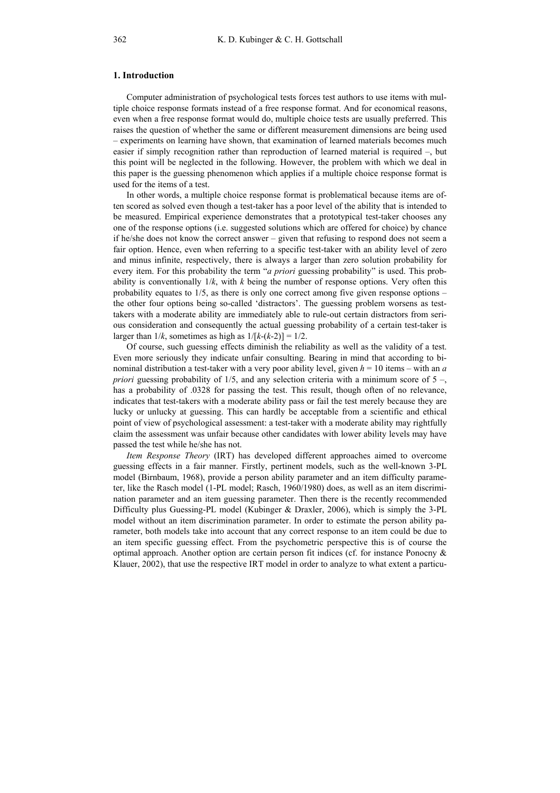## **1. Introduction**

Computer administration of psychological tests forces test authors to use items with multiple choice response formats instead of a free response format. And for economical reasons, even when a free response format would do, multiple choice tests are usually preferred. This raises the question of whether the same or different measurement dimensions are being used – experiments on learning have shown, that examination of learned materials becomes much easier if simply recognition rather than reproduction of learned material is required –, but this point will be neglected in the following. However, the problem with which we deal in this paper is the guessing phenomenon which applies if a multiple choice response format is used for the items of a test.

In other words, a multiple choice response format is problematical because items are often scored as solved even though a test-taker has a poor level of the ability that is intended to be measured. Empirical experience demonstrates that a prototypical test-taker chooses any one of the response options (i.e. suggested solutions which are offered for choice) by chance if he/she does not know the correct answer – given that refusing to respond does not seem a fair option. Hence, even when referring to a specific test-taker with an ability level of zero and minus infinite, respectively, there is always a larger than zero solution probability for every item. For this probability the term "*a priori* guessing probability" is used. This probability is conventionally  $1/k$ , with  $k$  being the number of response options. Very often this probability equates to 1/5, as there is only one correct among five given response options – the other four options being so-called 'distractors'. The guessing problem worsens as testtakers with a moderate ability are immediately able to rule-out certain distractors from serious consideration and consequently the actual guessing probability of a certain test-taker is larger than  $1/k$ , sometimes as high as  $1/[k-(k-2)] = 1/2$ .

Of course, such guessing effects diminish the reliability as well as the validity of a test. Even more seriously they indicate unfair consulting. Bearing in mind that according to binominal distribution a test-taker with a very poor ability level, given *h* = 10 items – with an *a priori* guessing probability of 1/5, and any selection criteria with a minimum score of  $5 -$ , has a probability of .0328 for passing the test. This result, though often of no relevance, indicates that test-takers with a moderate ability pass or fail the test merely because they are lucky or unlucky at guessing. This can hardly be acceptable from a scientific and ethical point of view of psychological assessment: a test-taker with a moderate ability may rightfully claim the assessment was unfair because other candidates with lower ability levels may have passed the test while he/she has not.

*Item Response Theory* (IRT) has developed different approaches aimed to overcome guessing effects in a fair manner. Firstly, pertinent models, such as the well-known 3-PL model (Birnbaum, 1968), provide a person ability parameter and an item difficulty parameter, like the Rasch model (1-PL model; Rasch, 1960/1980) does, as well as an item discrimination parameter and an item guessing parameter. Then there is the recently recommended Difficulty plus Guessing-PL model (Kubinger & Draxler, 2006), which is simply the 3-PL model without an item discrimination parameter. In order to estimate the person ability parameter, both models take into account that any correct response to an item could be due to an item specific guessing effect. From the psychometric perspective this is of course the optimal approach. Another option are certain person fit indices (cf. for instance Ponocny  $\&$ Klauer, 2002), that use the respective IRT model in order to analyze to what extent a particu-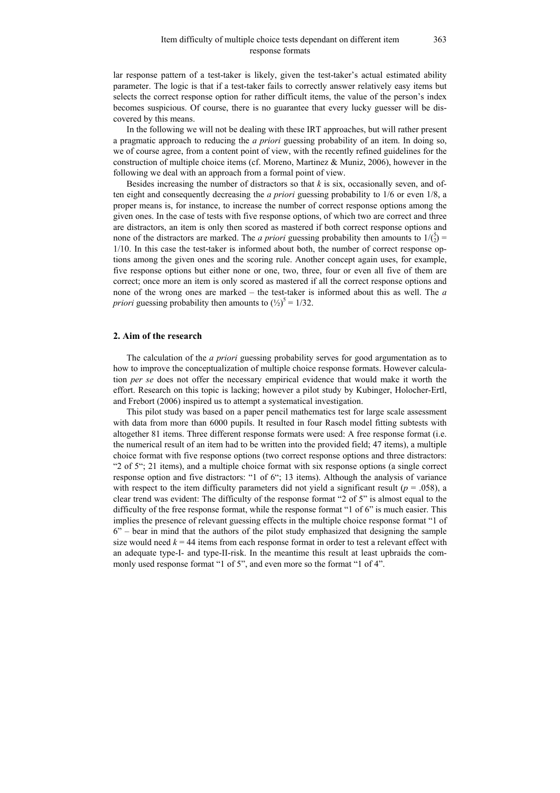lar response pattern of a test-taker is likely, given the test-taker's actual estimated ability parameter. The logic is that if a test-taker fails to correctly answer relatively easy items but selects the correct response option for rather difficult items, the value of the person's index becomes suspicious. Of course, there is no guarantee that every lucky guesser will be discovered by this means.

In the following we will not be dealing with these IRT approaches, but will rather present a pragmatic approach to reducing the *a priori* guessing probability of an item. In doing so, we of course agree, from a content point of view, with the recently refined guidelines for the construction of multiple choice items (cf. Moreno, Martinez & Muniz, 2006), however in the following we deal with an approach from a formal point of view.

Besides increasing the number of distractors so that *k* is six, occasionally seven, and often eight and consequently decreasing the *a priori* guessing probability to 1/6 or even 1/8, a proper means is, for instance, to increase the number of correct response options among the given ones. In the case of tests with five response options, of which two are correct and three are distractors, an item is only then scored as mastered if both correct response options and none of the distractors are marked. The *a priori* guessing probability then amounts to  $1/\binom{5}{2}$  = 1/10. In this case the test-taker is informed about both, the number of correct response options among the given ones and the scoring rule. Another concept again uses, for example, five response options but either none or one, two, three, four or even all five of them are correct; once more an item is only scored as mastered if all the correct response options and none of the wrong ones are marked – the test-taker is informed about this as well. The *a priori* guessing probability then amounts to  $\left(\frac{1}{2}\right)^5 = 1/32$ .

#### **2. Aim of the research**

The calculation of the *a priori* guessing probability serves for good argumentation as to how to improve the conceptualization of multiple choice response formats. However calculation *per se* does not offer the necessary empirical evidence that would make it worth the effort. Research on this topic is lacking; however a pilot study by Kubinger, Holocher-Ertl, and Frebort (2006) inspired us to attempt a systematical investigation.

This pilot study was based on a paper pencil mathematics test for large scale assessment with data from more than 6000 pupils. It resulted in four Rasch model fitting subtests with altogether 81 items. Three different response formats were used: A free response format (i.e. the numerical result of an item had to be written into the provided field; 47 items), a multiple choice format with five response options (two correct response options and three distractors: "2 of 5"; 21 items), and a multiple choice format with six response options (a single correct response option and five distractors: "1 of 6"; 13 items). Although the analysis of variance with respect to the item difficulty parameters did not yield a significant result ( $p = .058$ ), a clear trend was evident: The difficulty of the response format "2 of 5" is almost equal to the difficulty of the free response format, while the response format "1 of 6" is much easier. This implies the presence of relevant guessing effects in the multiple choice response format "1 of 6" – bear in mind that the authors of the pilot study emphasized that designing the sample size would need  $k = 44$  items from each response format in order to test a relevant effect with an adequate type-I- and type-II-risk. In the meantime this result at least upbraids the commonly used response format "1 of 5", and even more so the format "1 of 4".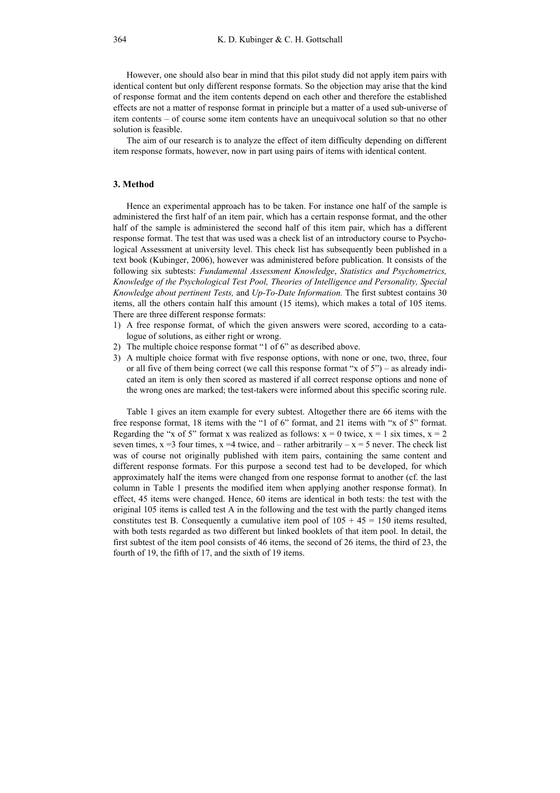However, one should also bear in mind that this pilot study did not apply item pairs with identical content but only different response formats. So the objection may arise that the kind of response format and the item contents depend on each other and therefore the established effects are not a matter of response format in principle but a matter of a used sub-universe of item contents – of course some item contents have an unequivocal solution so that no other solution is feasible.

The aim of our research is to analyze the effect of item difficulty depending on different item response formats, however, now in part using pairs of items with identical content.

## **3. Method**

Hence an experimental approach has to be taken. For instance one half of the sample is administered the first half of an item pair, which has a certain response format, and the other half of the sample is administered the second half of this item pair, which has a different response format. The test that was used was a check list of an introductory course to Psychological Assessment at university level. This check list has subsequently been published in a text book (Kubinger, 2006), however was administered before publication. It consists of the following six subtests: *Fundamental Assessment Knowledge*, *Statistics and Psychometrics, Knowledge of the Psychological Test Pool, Theories of Intelligence and Personality, Special Knowledge about pertinent Tests,* and *Up-To-Date Information.* The first subtest contains 30 items, all the others contain half this amount (15 items), which makes a total of 105 items. There are three different response formats:

- 1) A free response format, of which the given answers were scored, according to a catalogue of solutions, as either right or wrong.
- 2) The multiple choice response format "1 of 6" as described above.
- 3) A multiple choice format with five response options, with none or one, two, three, four or all five of them being correct (we call this response format "x of 5") – as already indicated an item is only then scored as mastered if all correct response options and none of the wrong ones are marked; the test-takers were informed about this specific scoring rule.

Table 1 gives an item example for every subtest. Altogether there are 66 items with the free response format, 18 items with the "1 of 6" format, and 21 items with "x of 5" format. Regarding the "x of 5" format x was realized as follows:  $x = 0$  twice,  $x = 1$  six times,  $x = 2$ seven times,  $x = 3$  four times,  $x = 4$  twice, and – rather arbitrarily –  $x = 5$  never. The check list was of course not originally published with item pairs, containing the same content and different response formats. For this purpose a second test had to be developed, for which approximately half the items were changed from one response format to another (cf. the last column in Table 1 presents the modified item when applying another response format). In effect, 45 items were changed. Hence, 60 items are identical in both tests: the test with the original 105 items is called test A in the following and the test with the partly changed items constitutes test B. Consequently a cumulative item pool of  $105 + 45 = 150$  items resulted, with both tests regarded as two different but linked booklets of that item pool. In detail, the first subtest of the item pool consists of 46 items, the second of 26 items, the third of 23, the fourth of 19, the fifth of 17, and the sixth of 19 items.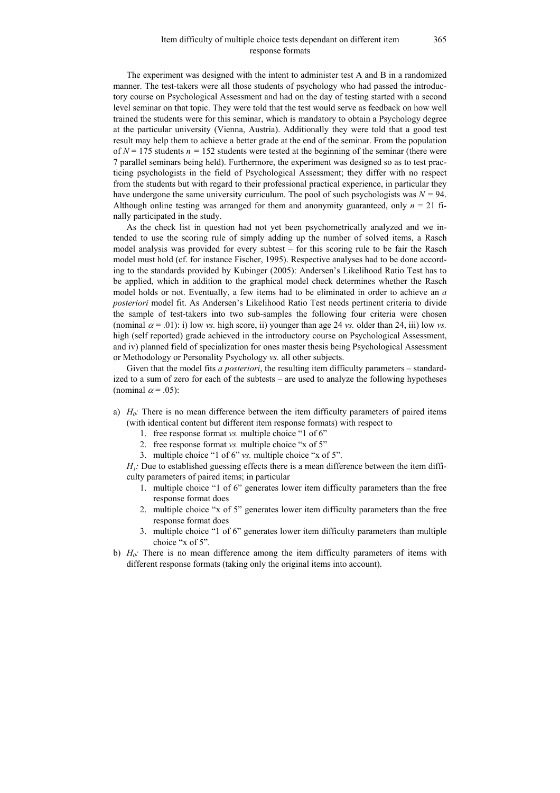## Item difficulty of multiple choice tests dependant on different item response formats

The experiment was designed with the intent to administer test A and B in a randomized manner. The test-takers were all those students of psychology who had passed the introductory course on Psychological Assessment and had on the day of testing started with a second level seminar on that topic. They were told that the test would serve as feedback on how well trained the students were for this seminar, which is mandatory to obtain a Psychology degree at the particular university (Vienna, Austria). Additionally they were told that a good test result may help them to achieve a better grade at the end of the seminar. From the population of  $N = 175$  students  $n = 152$  students were tested at the beginning of the seminar (there were 7 parallel seminars being held). Furthermore, the experiment was designed so as to test practicing psychologists in the field of Psychological Assessment; they differ with no respect from the students but with regard to their professional practical experience, in particular they have undergone the same university curriculum. The pool of such psychologists was  $N = 94$ . Although online testing was arranged for them and anonymity guaranteed, only  $n = 21$  finally participated in the study.

As the check list in question had not yet been psychometrically analyzed and we intended to use the scoring rule of simply adding up the number of solved items, a Rasch model analysis was provided for every subtest – for this scoring rule to be fair the Rasch model must hold (cf. for instance Fischer, 1995). Respective analyses had to be done according to the standards provided by Kubinger (2005): Andersen's Likelihood Ratio Test has to be applied, which in addition to the graphical model check determines whether the Rasch model holds or not. Eventually, a few items had to be eliminated in order to achieve an *a posteriori* model fit. As Andersen's Likelihood Ratio Test needs pertinent criteria to divide the sample of test-takers into two sub-samples the following four criteria were chosen (nominal  $\alpha = .01$ ): i) low *vs.* high score, ii) younger than age 24 *vs.* older than 24, iii) low *vs.* high (self reported) grade achieved in the introductory course on Psychological Assessment, and iv) planned field of specialization for ones master thesis being Psychological Assessment or Methodology or Personality Psychology *vs.* all other subjects.

Given that the model fits *a posteriori*, the resulting item difficulty parameters – standardized to a sum of zero for each of the subtests – are used to analyze the following hypotheses (nominal  $\alpha$  = .05):

- a)  $H_0$ : There is no mean difference between the item difficulty parameters of paired items (with identical content but different item response formats) with respect to
	- 1. free response format *vs.* multiple choice "1 of 6"
	- 2. free response format *vs.* multiple choice "x of 5"
	- 3. multiple choice "1 of 6" *vs.* multiple choice "x of 5".

*H<sub>1</sub>*: Due to established guessing effects there is a mean difference between the item difficulty parameters of paired items; in particular

- 1. multiple choice "1 of 6" generates lower item difficulty parameters than the free response format does
- 2. multiple choice "x of 5" generates lower item difficulty parameters than the free response format does
- 3. multiple choice "1 of 6" generates lower item difficulty parameters than multiple choice "x of 5".
- b)  $H_0$ : There is no mean difference among the item difficulty parameters of items with different response formats (taking only the original items into account).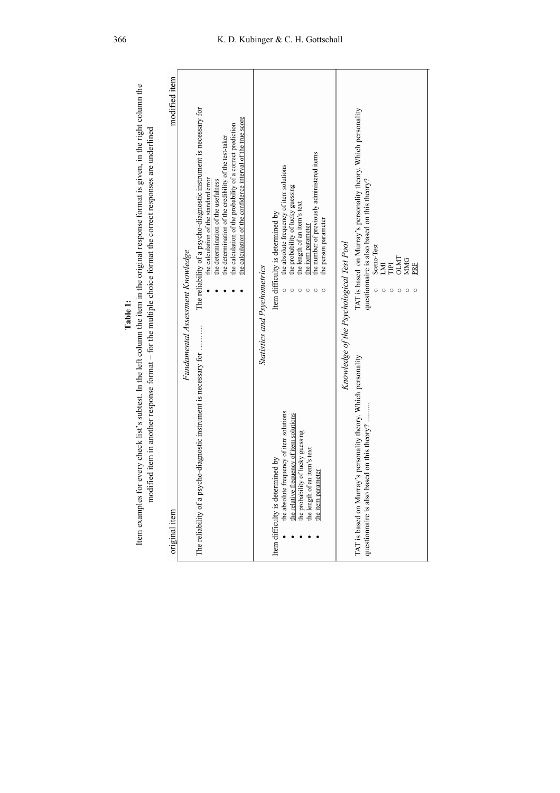| T.<br>٠ |  |  |
|---------|--|--|
|         |  |  |
|         |  |  |
|         |  |  |

Item examples for every check list's subtest. In the left column the item in the original response format is given, in the right column the Table 1:<br>Item examples for every check list's subtest. In the left column the item in the original response format is given, in the right column the<br>modified item in another response format – for the multiple choice format modified item in another response format - for the multiple choice format the correct responses are underlined

| original item                                                                                                                                                                                                                                              | modified item                                                                                                                                                                                                                                                                                                                              |
|------------------------------------------------------------------------------------------------------------------------------------------------------------------------------------------------------------------------------------------------------------|--------------------------------------------------------------------------------------------------------------------------------------------------------------------------------------------------------------------------------------------------------------------------------------------------------------------------------------------|
| Fundamental Assessment Knowledge<br>The reliability of a psycho-diagnostic instrument is necessary for                                                                                                                                                     | The reliability of a psycho-diagnostic instrument is necessary for<br>the calculation of the confidence interval of the true score<br>the calculation of the probability of a correct prediction<br>the determination of the credibility of the test-taker<br>the calculation of the standard error<br>the determination of the usefulness |
| <b>Statistics and Psychometrics</b><br>the absolute frequency of item solutions<br>the relative frequency of item solutions<br>the probability of lucky guessing<br>the length of an item's text<br>Item difficulty is determined by<br>the item parameter | the number of previously administered items<br>the absolute frequency of item solutions<br>the probability of lucky guessing<br>the length of an item's text<br>Item difficulty is determined by<br>the person parameter<br>the item parameter                                                                                             |
| Knowledge of the Psychological Test Pool<br>TAT is based on Murray's personality theory. Which personality<br>questionnaire is also based on this theory?                                                                                                  | TAT is based on Murray's personality theory. Which personality<br>questionnaire is also based on this theory?<br>Sceno-Test<br>LMI<br><b>OLMT</b><br><b>MMG</b><br>E<br>PRF                                                                                                                                                                |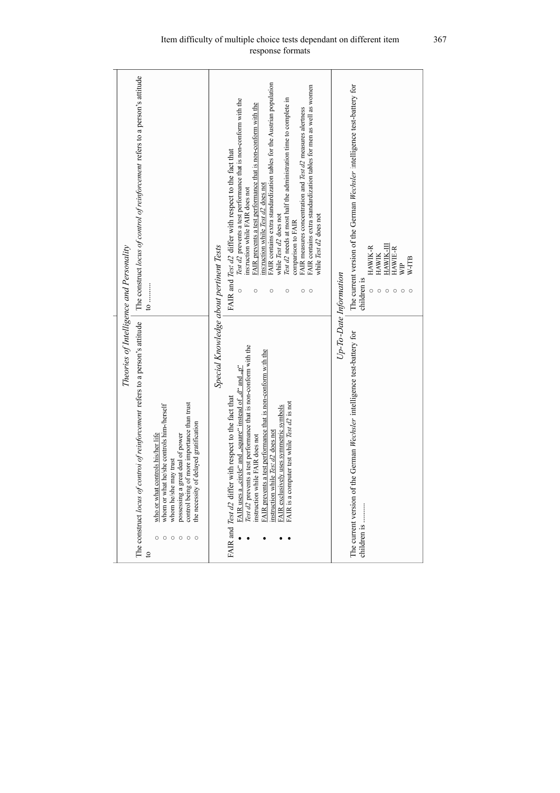| Theories of Intelligence and Personality                                                                                                                                                                                                                                                                                                                                                                                                   |                                                                                                                                                                                                                                                                                                                                                                                                                                                                                                                                                                                                                                                                                              |
|--------------------------------------------------------------------------------------------------------------------------------------------------------------------------------------------------------------------------------------------------------------------------------------------------------------------------------------------------------------------------------------------------------------------------------------------|----------------------------------------------------------------------------------------------------------------------------------------------------------------------------------------------------------------------------------------------------------------------------------------------------------------------------------------------------------------------------------------------------------------------------------------------------------------------------------------------------------------------------------------------------------------------------------------------------------------------------------------------------------------------------------------------|
| The construct locus of control of reinforcement refers to a person's attitude<br>$\mathbf{c}$                                                                                                                                                                                                                                                                                                                                              | The construct locus of control of reinforcement refers to a person's attitude<br>$\ddot{0} \dots$                                                                                                                                                                                                                                                                                                                                                                                                                                                                                                                                                                                            |
| control being of more importance than trust<br>whom or what he/she controls him-/herself<br>the necessity of delayed gratification<br>who or what controls his/her life<br>great deal of power<br>whom he/she may trust<br>possessing a<br>$\circ$<br>$\circ$<br>$\circ$<br>$\circ$<br>$\circ$                                                                                                                                             |                                                                                                                                                                                                                                                                                                                                                                                                                                                                                                                                                                                                                                                                                              |
| Special Knowledge about pertinent Tests                                                                                                                                                                                                                                                                                                                                                                                                    |                                                                                                                                                                                                                                                                                                                                                                                                                                                                                                                                                                                                                                                                                              |
| Test d2 prevents a test performance that is non-conform with the<br>FAIR prevents a test performance that is non-conform with the<br>FAIR uses a "circle" and "square" instead of "d" and " $p''$<br>FAIR and Test d2 differ with respect to the fact that<br>FAIR is a computer test while Test d2 is not<br>FAIR exclusively uses symmetric symbols<br>instruction while Test d <sub>2</sub> does not<br>instruction while FAIR does not | FAIR contains extra standardization tables for the Austrian population<br>FAIR contains extra standardization tables for men as well as women<br>lest d2 needs at most half the administration time to complete in<br>Test d2 prevents a test performance that is non-conform with the<br>FAIR prevents a test performance that is non-conform with the<br>FAIR measures concentration and Test d2 measures alertness<br>FAIR and Test d2 differ with respect to the fact that<br>nstruction while Test d2 does not<br>instruction while FAIR does not<br>while Test d2 does not<br>while Test d2 does not<br>comparison to FAIR<br>$\circ$<br>$\circ$<br>$\circ$<br>$\circ$<br>О<br>$\circ$ |
| Up-To-Date Information                                                                                                                                                                                                                                                                                                                                                                                                                     |                                                                                                                                                                                                                                                                                                                                                                                                                                                                                                                                                                                                                                                                                              |
| The current version of the German Wechsler intelligence test-battery for<br>children is                                                                                                                                                                                                                                                                                                                                                    | The current version of the German Wechsler intelligence test-battery for<br>HAWIK-III<br><b>HAWIK-R</b><br>HAWIE-R<br><b>HAWIK</b><br>W-ITB<br><b>SHE</b><br>children is<br>$\circ$<br>$\circ$<br>$\circ$<br>$\circ$                                                                                                                                                                                                                                                                                                                                                                                                                                                                         |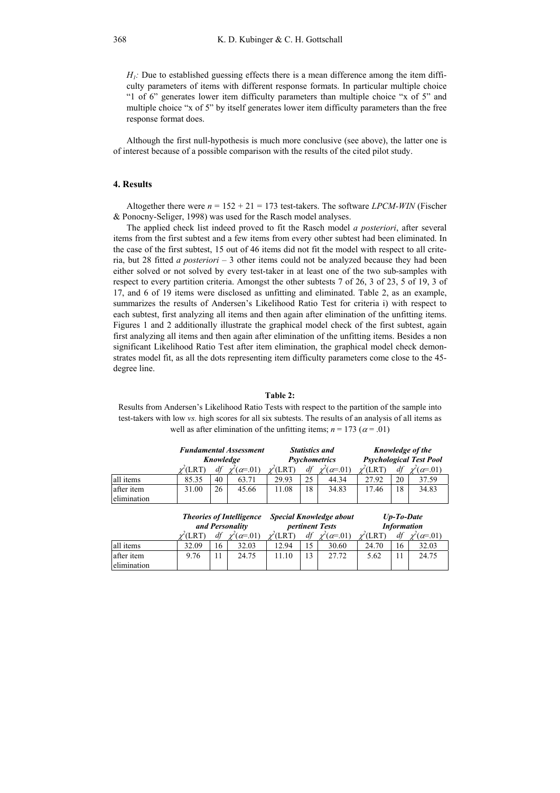$H_1$ : Due to established guessing effects there is a mean difference among the item difficulty parameters of items with different response formats. In particular multiple choice "1 of 6" generates lower item difficulty parameters than multiple choice "x of 5" and multiple choice "x of 5" by itself generates lower item difficulty parameters than the free response format does.

Although the first null-hypothesis is much more conclusive (see above), the latter one is of interest because of a possible comparison with the results of the cited pilot study.

## **4. Results**

Altogether there were  $n = 152 + 21 = 173$  test-takers. The software *LPCM-WIN* (Fischer & Ponocny-Seliger, 1998) was used for the Rasch model analyses.

The applied check list indeed proved to fit the Rasch model *a posteriori*, after several items from the first subtest and a few items from every other subtest had been eliminated. In the case of the first subtest, 15 out of 46 items did not fit the model with respect to all criteria, but 28 fitted *a posteriori* – 3 other items could not be analyzed because they had been either solved or not solved by every test-taker in at least one of the two sub-samples with respect to every partition criteria. Amongst the other subtests 7 of 26, 3 of 23, 5 of 19, 3 of 17, and 6 of 19 items were disclosed as unfitting and eliminated. Table 2, as an example, summarizes the results of Andersen's Likelihood Ratio Test for criteria i) with respect to each subtest, first analyzing all items and then again after elimination of the unfitting items. Figures 1 and 2 additionally illustrate the graphical model check of the first subtest, again first analyzing all items and then again after elimination of the unfitting items. Besides a non significant Likelihood Ratio Test after item elimination, the graphical model check demonstrates model fit, as all the dots representing item difficulty parameters come close to the 45 degree line.

### **Table 2:**

Results from Andersen's Likelihood Ratio Tests with respect to the partition of the sample into test-takers with low *vs.* high scores for all six subtests. The results of an analysis of all items as well as after elimination of the unfitting items;  $n = 173$  ( $\alpha = .01$ )

|                           |                                                    | <b>Fundamental Assessment</b> |                    |                      | <b>Statistics and</b> |                                                    |                                | Knowledge of the                    |                          |  |  |
|---------------------------|----------------------------------------------------|-------------------------------|--------------------|----------------------|-----------------------|----------------------------------------------------|--------------------------------|-------------------------------------|--------------------------|--|--|
|                           | Knowledge                                          |                               |                    | <b>Psychometrics</b> |                       |                                                    | <b>Psychological Test Pool</b> |                                     |                          |  |  |
|                           | $\nu^{\prime}(\text{LRT})$                         | df                            | $\chi'(\alpha=01)$ | $\nu^2$ (LRT)        | df                    | $\chi^2(\alpha=0.01)$                              | $\nu$ <sup>(</sup> LRT)        | df                                  | $\chi^2(\alpha=01)$      |  |  |
| all items                 | 85.35                                              | 40                            | 63.71              | 29.93                | 25                    | 44.34                                              | 27.92                          | 20                                  | 37.59                    |  |  |
| after item<br>elimination | 31.00                                              | 26                            | 45.66              | 11.08                | 18                    | 34.83                                              | 17.46                          | 18                                  | 34.83                    |  |  |
|                           | <b>Theories of Intelligence</b><br>and Personality |                               |                    |                      |                       | <b>Special Knowledge about</b><br>pertinent Tests  |                                | $Up$ -To-Date<br><b>Information</b> |                          |  |  |
|                           | $\nu(LRT)$                                         | $df \chi^2(\alpha=01)$        |                    |                      |                       | $\chi^2(LRT)$ df $\chi^2(\alpha=01)$ $\chi^2(LRT)$ |                                |                                     | $df \chi^2(\alpha=0.01)$ |  |  |

χ (LRT) *df* <sup>χ</sup>  $(\alpha=01)$   $\chi$ (LRT) *df* <sup>χ</sup>  $(\alpha=01)$   $\chi$  $\ell$ (LRT) *df*  $\chi$ all items 32.09 16 32.03 12.94 15 30.60 24.70 16 32.03 after item elimination 9.76 | 11 | 24.75 | 11.10 | 13 | 27.72 | 5.62 | 11 | 24.75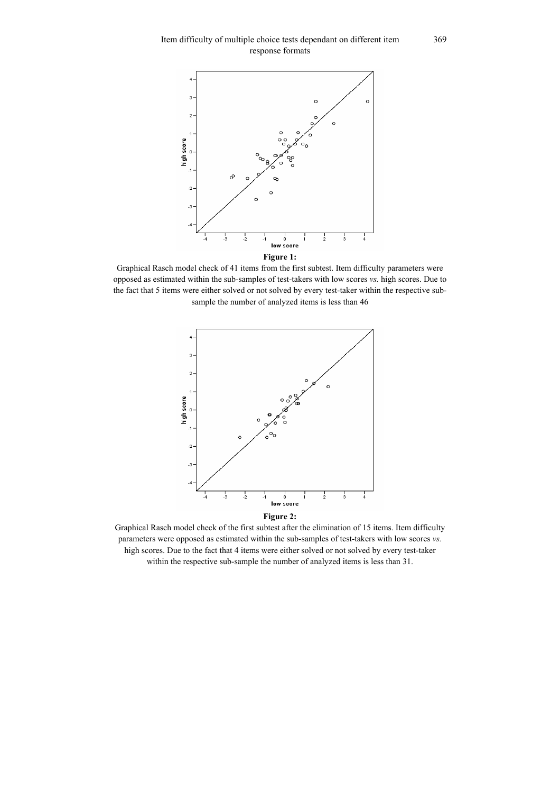

**Figure 1:** 

Graphical Rasch model check of 41 items from the first subtest. Item difficulty parameters were opposed as estimated within the sub-samples of test-takers with low scores *vs.* high scores. Due to the fact that 5 items were either solved or not solved by every test-taker within the respective subsample the number of analyzed items is less than 46



**Figure 2:** 

Graphical Rasch model check of the first subtest after the elimination of 15 items. Item difficulty parameters were opposed as estimated within the sub-samples of test-takers with low scores *vs.* high scores. Due to the fact that 4 items were either solved or not solved by every test-taker within the respective sub-sample the number of analyzed items is less than 31.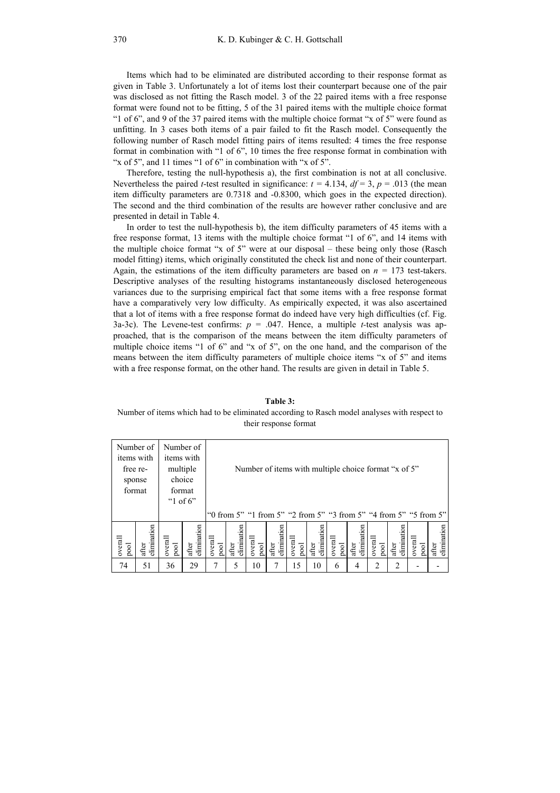Items which had to be eliminated are distributed according to their response format as given in Table 3. Unfortunately a lot of items lost their counterpart because one of the pair was disclosed as not fitting the Rasch model. 3 of the 22 paired items with a free response format were found not to be fitting, 5 of the 31 paired items with the multiple choice format "1 of 6", and 9 of the 37 paired items with the multiple choice format "x of 5" were found as unfitting. In 3 cases both items of a pair failed to fit the Rasch model. Consequently the following number of Rasch model fitting pairs of items resulted: 4 times the free response format in combination with "1 of 6", 10 times the free response format in combination with "x of 5", and 11 times "1 of 6" in combination with "x of 5".

Therefore, testing the null-hypothesis a), the first combination is not at all conclusive. Nevertheless the paired *t*-test resulted in significance:  $t = 4.134$ ,  $df = 3$ ,  $p = .013$  (the mean item difficulty parameters are 0.7318 and -0.8300, which goes in the expected direction). The second and the third combination of the results are however rather conclusive and are presented in detail in Table 4.

In order to test the null-hypothesis b), the item difficulty parameters of 45 items with a free response format, 13 items with the multiple choice format "1 of 6", and 14 items with the multiple choice format "x of 5" were at our disposal – these being only those (Rasch model fitting) items, which originally constituted the check list and none of their counterpart. Again, the estimations of the item difficulty parameters are based on  $n = 173$  test-takers. Descriptive analyses of the resulting histograms instantaneously disclosed heterogeneous variances due to the surprising empirical fact that some items with a free response format have a comparatively very low difficulty. As empirically expected, it was also ascertained that a lot of items with a free response format do indeed have very high difficulties (cf. Fig. 3a-3c). The Levene-test confirms:  $p = .047$ . Hence, a multiple *t*-test analysis was approached, that is the comparison of the means between the item difficulty parameters of multiple choice items "1 of 6" and "x of 5", on the one hand, and the comparison of the means between the item difficulty parameters of multiple choice items "x of 5" and items with a free response format, on the other hand. The results are given in detail in Table 5.

#### **Table 3:**

Number of items which had to be eliminated according to Rasch model analyses with respect to their response format

| items with      | Number of            | Number of       | items with           |                 |                                                      |                 |                      |                 |                      |                 |                      |                 |                                                                   |                 |                      |
|-----------------|----------------------|-----------------|----------------------|-----------------|------------------------------------------------------|-----------------|----------------------|-----------------|----------------------|-----------------|----------------------|-----------------|-------------------------------------------------------------------|-----------------|----------------------|
| free re-        |                      |                 | multiple             |                 | Number of items with multiple choice format "x of 5" |                 |                      |                 |                      |                 |                      |                 |                                                                   |                 |                      |
| sponse          |                      |                 | choice               |                 |                                                      |                 |                      |                 |                      |                 |                      |                 |                                                                   |                 |                      |
| format          |                      |                 | format               |                 |                                                      |                 |                      |                 |                      |                 |                      |                 |                                                                   |                 |                      |
|                 |                      |                 | " $1$ of 6"          |                 |                                                      |                 |                      |                 |                      |                 |                      |                 |                                                                   |                 |                      |
|                 |                      |                 |                      |                 |                                                      |                 |                      |                 |                      |                 |                      |                 | "0 from 5" "1 from 5" "2 from 5" "3 from 5" "4 from 5" "5 from 5" |                 |                      |
| overall<br>pool | elimination<br>after | overall<br>pool | after<br>elimination | overall<br>pool | after<br>elimination                                 | overall<br>pool | after<br>elimination | overall<br>pool | elimination<br>after | overall<br>pool | after<br>elimination | overall<br>pool | elimination<br>after                                              | overall<br>pool | elimination<br>after |
| 74              | 51                   | 36              | 29                   |                 | 5                                                    | 10              | 7                    | 15              | 10                   | 6               | 4                    |                 | $\mathfrak{D}$                                                    |                 |                      |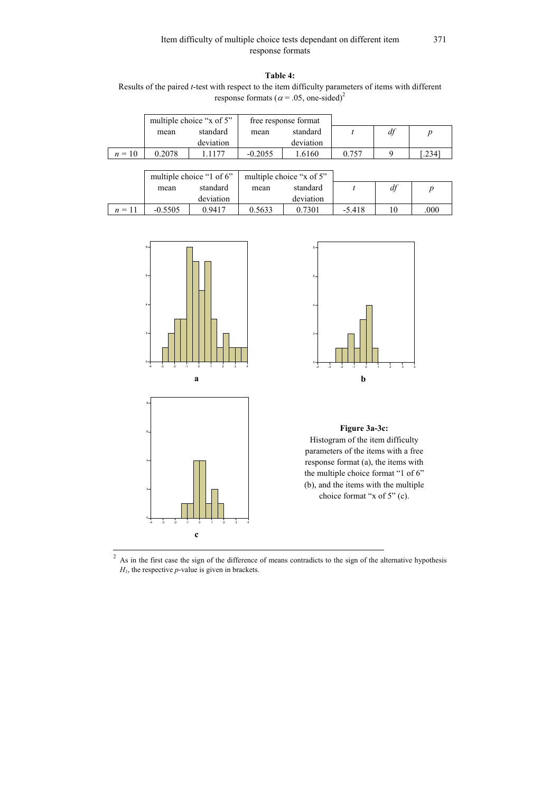## Item difficulty of multiple choice tests dependant on different item response formats

# **Table 4:**

Results of the paired *t*-test with respect to the item difficulty parameters of items with different response formats ( $\alpha$  = .05, one-sided)<sup>2</sup>

|        |        | multiple choice "x of 5" |           | free response format |       |    |       |
|--------|--------|--------------------------|-----------|----------------------|-------|----|-------|
|        | mean   | standard                 | mean      | standard             |       | df |       |
|        |        | deviation                |           | deviation            |       |    |       |
| $n=10$ | 0.2078 | 1177                     | $-0.2055$ | .6160                | 0 757 |    | .2341 |

|          |           | multiple choice "1 of 6" |        | multiple choice "x of 5" |          |    |      |
|----------|-----------|--------------------------|--------|--------------------------|----------|----|------|
|          | mean      | standard                 | mean   | standard                 |          | df |      |
|          |           | deviation                |        | deviation                |          |    |      |
| $n = 11$ | $-0.5505$ | 0.9417                   | 0.5633 | 0.7301                   | $-5.418$ |    | .000 |







# **Figure 3a-3c:**

Histogram of the item difficulty parameters of the items with a free response format (a), the items with the multiple choice format "1 of 6" (b), and the items with the multiple choice format "x of 5" (c).

<sup>2</sup>  $\frac{2}{1}$  As in the first case the sign of the difference of means contradicts to the sign of the alternative hypothesis *H1*, the respective *p*-value is given in brackets.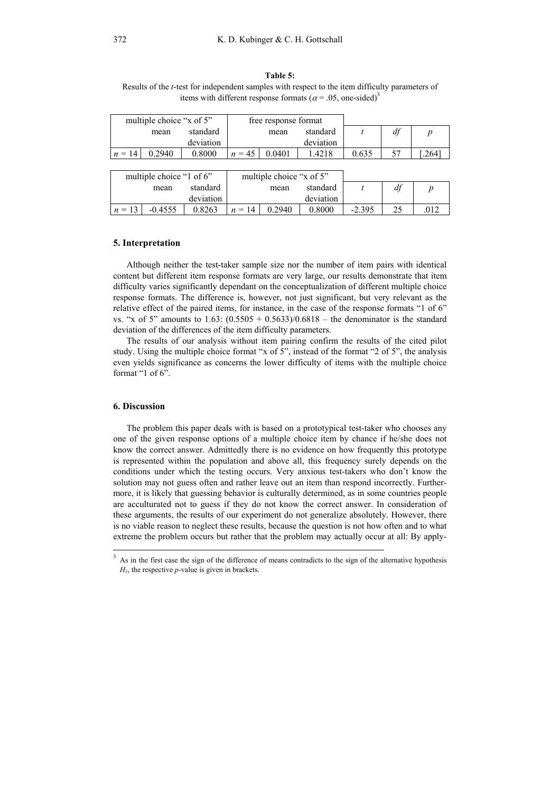#### **Table 5:**

Results of the *t*-test for independent samples with respect to the item difficulty parameters of items with different response formats ( $\alpha$  = .05, one-sided)<sup>3</sup>

|                          | multiple choice "x of 5" |           |          | free response format     |           |       |    |      |
|--------------------------|--------------------------|-----------|----------|--------------------------|-----------|-------|----|------|
|                          | mean                     | standard  |          | mean                     | standard  |       | df |      |
|                          |                          | deviation |          |                          | deviation |       |    |      |
| $n = 14$                 | 0.2940                   | 0.8000    | $n = 45$ | 0.0401                   | 1.4218    | 0.635 |    | .264 |
|                          |                          |           |          |                          |           |       |    |      |
| multiple choice "1 of 6" |                          |           |          | multiple choice "x of 5" |           |       |    |      |
|                          | mean                     | standard  |          | mean                     | standard  |       |    |      |

*n* = 13 | -0.4555 | 0.8263 | *n* = 14 | 0.2940 | 0.8000 | -2.395 | 25 | .012

deviation

#### **5. Interpretation**

deviation

Although neither the test-taker sample size nor the number of item pairs with identical content but different item response formats are very large, our results demonstrate that item difficulty varies significantly dependant on the conceptualization of different multiple choice response formats. The difference is, however, not just significant, but very relevant as the relative effect of the paired items, for instance, in the case of the response formats "1 of 6" vs. "x of 5" amounts to 1.63:  $(0.5505 + 0.5633)/0.6818$  – the denominator is the standard deviation of the differences of the item difficulty parameters.

The results of our analysis without item pairing confirm the results of the cited pilot study. Using the multiple choice format "x of 5", instead of the format "2 of 5", the analysis even yields significance as concerns the lower difficulty of items with the multiple choice format "1 of  $6$ ".

### **6. Discussion**

The problem this paper deals with is based on a prototypical test-taker who chooses any one of the given response options of a multiple choice item by chance if he/she does not know the correct answer. Admittedly there is no evidence on how frequently this prototype is represented within the population and above all, this frequency surely depends on the conditions under which the testing occurs. Very anxious test-takers who don't know the solution may not guess often and rather leave out an item than respond incorrectly. Furthermore, it is likely that guessing behavior is culturally determined, as in some countries people are acculturated not to guess if they do not know the correct answer. In consideration of these arguments, the results of our experiment do not generalize absolutely. However, there is no viable reason to neglect these results, because the question is not how often and to what extreme the problem occurs but rather that the problem may actually occur at all: By apply-

 <sup>3</sup> As in the first case the sign of the difference of means contradicts to the sign of the alternative hypothesis *H1*, the respective *p*-value is given in brackets.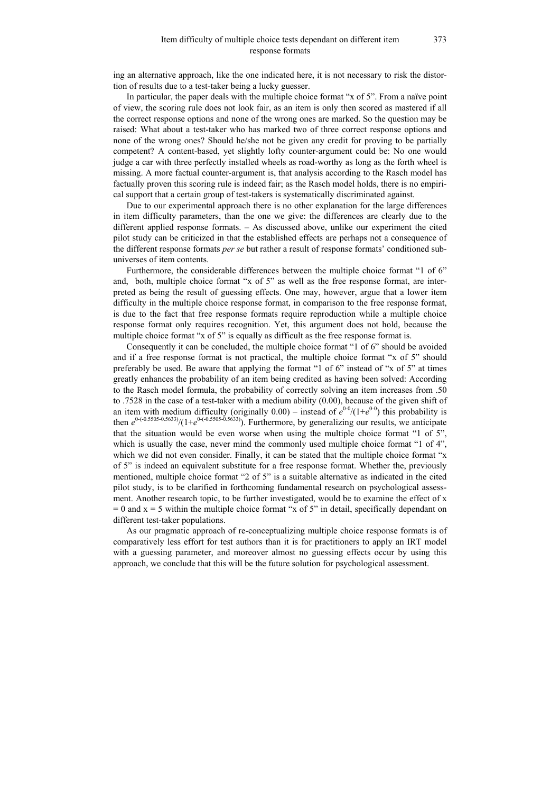## Item difficulty of multiple choice tests dependant on different item response formats

ing an alternative approach, like the one indicated here, it is not necessary to risk the distortion of results due to a test-taker being a lucky guesser.

In particular, the paper deals with the multiple choice format "x of 5". From a naïve point of view, the scoring rule does not look fair, as an item is only then scored as mastered if all the correct response options and none of the wrong ones are marked. So the question may be raised: What about a test-taker who has marked two of three correct response options and none of the wrong ones? Should he/she not be given any credit for proving to be partially competent? A content-based, yet slightly lofty counter-argument could be: No one would judge a car with three perfectly installed wheels as road-worthy as long as the forth wheel is missing. A more factual counter-argument is, that analysis according to the Rasch model has factually proven this scoring rule is indeed fair; as the Rasch model holds, there is no empirical support that a certain group of test-takers is systematically discriminated against.

Due to our experimental approach there is no other explanation for the large differences in item difficulty parameters, than the one we give: the differences are clearly due to the different applied response formats. – As discussed above, unlike our experiment the cited pilot study can be criticized in that the established effects are perhaps not a consequence of the different response formats *per se* but rather a result of response formats' conditioned subuniverses of item contents.

Furthermore, the considerable differences between the multiple choice format "1 of 6" and, both, multiple choice format "x of 5" as well as the free response format, are interpreted as being the result of guessing effects. One may, however, argue that a lower item difficulty in the multiple choice response format, in comparison to the free response format, is due to the fact that free response formats require reproduction while a multiple choice response format only requires recognition. Yet, this argument does not hold, because the multiple choice format "x of 5" is equally as difficult as the free response format is.

Consequently it can be concluded, the multiple choice format "1 of 6" should be avoided and if a free response format is not practical, the multiple choice format "x of 5" should preferably be used. Be aware that applying the format "1 of 6" instead of "x of 5" at times greatly enhances the probability of an item being credited as having been solved: According to the Rasch model formula, the probability of correctly solving an item increases from .50 to .7528 in the case of a test-taker with a medium ability (0.00), because of the given shift of an item with medium difficulty (originally  $0.00$ ) – instead of  $e^{0.0}/(1+e^{0.0})$  this probability is then  $e^{0-(-0.5505-0.5633)}/(1+e^{0-(-0.5505-0.5633)})$ . Furthermore, by generalizing our results, we anticipate that the situation would be even worse when using the multiple choice format "1 of 5", which is usually the case, never mind the commonly used multiple choice format "1 of 4", which we did not even consider. Finally, it can be stated that the multiple choice format "x of 5" is indeed an equivalent substitute for a free response format. Whether the, previously mentioned, multiple choice format "2 of 5" is a suitable alternative as indicated in the cited pilot study, is to be clarified in forthcoming fundamental research on psychological assessment. Another research topic, to be further investigated, would be to examine the effect of x  $= 0$  and  $x = 5$  within the multiple choice format "x of 5" in detail, specifically dependant on different test-taker populations.

As our pragmatic approach of re-conceptualizing multiple choice response formats is of comparatively less effort for test authors than it is for practitioners to apply an IRT model with a guessing parameter, and moreover almost no guessing effects occur by using this approach, we conclude that this will be the future solution for psychological assessment.